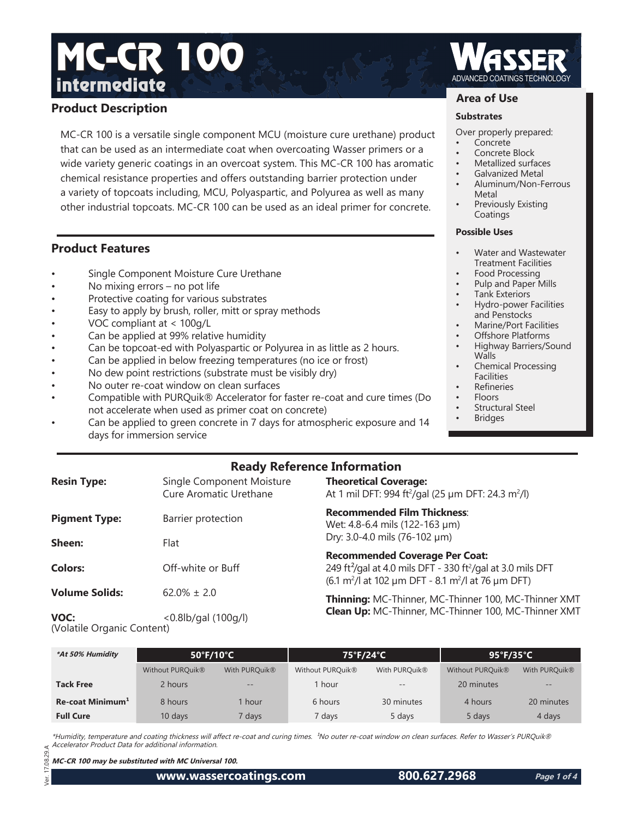# **Product Description**

MC-CR 100 is a versatile single component MCU (moisture cure urethane) product that can be used as an intermediate coat when overcoating Wasser primers or a wide variety generic coatings in an overcoat system. This MC-CR 100 has aromatic chemical resistance properties and offers outstanding barrier protection under a variety of topcoats including, MCU, Polyaspartic, and Polyurea as well as many other industrial topcoats. MC-CR 100 can be used as an ideal primer for concrete.

# **Product Features**

- Single Component Moisture Cure Urethane
- No mixing errors  $-$  no pot life
- Protective coating for various substrates
- Easy to apply by brush, roller, mitt or spray methods
- VOC compliant at < 100g/L
- Can be applied at 99% relative humidity
- Can be topcoat-ed with Polyaspartic or Polyurea in as little as 2 hours.
- Can be applied in below freezing temperatures (no ice or frost)
- No dew point restrictions (substrate must be visibly dry)
- No outer re-coat window on clean surfaces
- Compatible with PURQuik® Accelerator for faster re-coat and cure times (Do not accelerate when used as primer coat on concrete)
- Can be applied to green concrete in 7 days for atmospheric exposure and 14 days for immersion service

## **Area of Use**

#### **Substrates**

- Over properly prepared:
- Concrete
- Concrete Block
- Metallized surfaces
- Galvanized Metal
- Aluminum/Non-Ferrous Metal
- Previously Existing Coatings

#### **Possible Uses**

- Water and Wastewater Treatment Facilities
- Food Processing
- Pulp and Paper Mills
- Tank Exteriors • Hydro-power Facilities
- and Penstocks • Marine/Port Facilities
- Offshore Platforms
- Highway Barriers/Sound Walls
- Chemical Processing **Facilities**
- **Refineries**
- Floors
- Structural Steel
- **Bridges**

# **Ready Reference Information**

| <b>Resin Type:</b>                 | Single Component Moisture<br>Cure Aromatic Urethane | <b>Theoretical Coverage:</b><br>At 1 mil DFT: 994 ft <sup>2</sup> /gal (25 µm DFT: 24.3 m <sup>2</sup> /l)                                                                                                 |  |
|------------------------------------|-----------------------------------------------------|------------------------------------------------------------------------------------------------------------------------------------------------------------------------------------------------------------|--|
| <b>Pigment Type:</b>               | Barrier protection                                  | <b>Recommended Film Thickness:</b><br>Wet: 4.8-6.4 mils (122-163 µm)                                                                                                                                       |  |
| Sheen:                             | Flat                                                | Dry: 3.0-4.0 mils (76-102 µm)                                                                                                                                                                              |  |
| <b>Colors:</b>                     | Off-white or Buff                                   | <b>Recommended Coverage Per Coat:</b><br>249 ft <sup>2</sup> /gal at 4.0 mils DFT - 330 ft <sup>2</sup> /gal at 3.0 mils DFT<br>(6.1 m <sup>2</sup> /l at 102 µm DFT - 8.1 m <sup>2</sup> /l at 76 µm DFT) |  |
| <b>Volume Solids:</b>              | $62.0\% \pm 2.0$                                    | Thinning: MC-Thinner, MC-Thinner 100, MC-Thinner XMT                                                                                                                                                       |  |
| VOC:<br>(Volatile Organic Content) | $< 0.8$ lb/gal $(100q/l)$                           | Clean Up: MC-Thinner, MC-Thinner 100, MC-Thinner XMT                                                                                                                                                       |  |

| *At 50% Humidity             | $50^{\circ}$ F/10 $^{\circ}$ C |               | 75°F/24°C                    |                   | $95^{\circ}$ F/35 $^{\circ}$ C |                           |
|------------------------------|--------------------------------|---------------|------------------------------|-------------------|--------------------------------|---------------------------|
|                              | Without PURQuik <sup>®</sup>   | With PURQuik® | Without PURQuik <sup>®</sup> | With PURQuik®     | Without PURQuik <sup>®</sup>   | With PURQuik <sup>®</sup> |
| <b>Tack Free</b>             | 2 hours                        | $- -$         | 1 hour                       | $\qquad \qquad -$ | 20 minutes                     | $ -$                      |
| Re-coat Minimum <sup>1</sup> | 8 hours                        | hour          | 6 hours                      | 30 minutes        | 4 hours                        | 20 minutes                |
| <b>Full Cure</b>             | $10$ days                      | days 7        | 7 days                       | 5 days            | 5 days                         | 4 days                    |

\*Humidity, temperature and coating thickness will affect re-coat and curing times. <sup>1</sup>No outer re-coat window on clean surfaces. Refer to Wasser's PURQuik® Accelerator Product Data for additional information.

**MC-CR 100 may be substituted with MC Universal 100.**

**www.wassercoatings.com 800.627.2968**

**Page 1 of 4**

 Ver. 17.08.29.A  $\overline{a}$ Å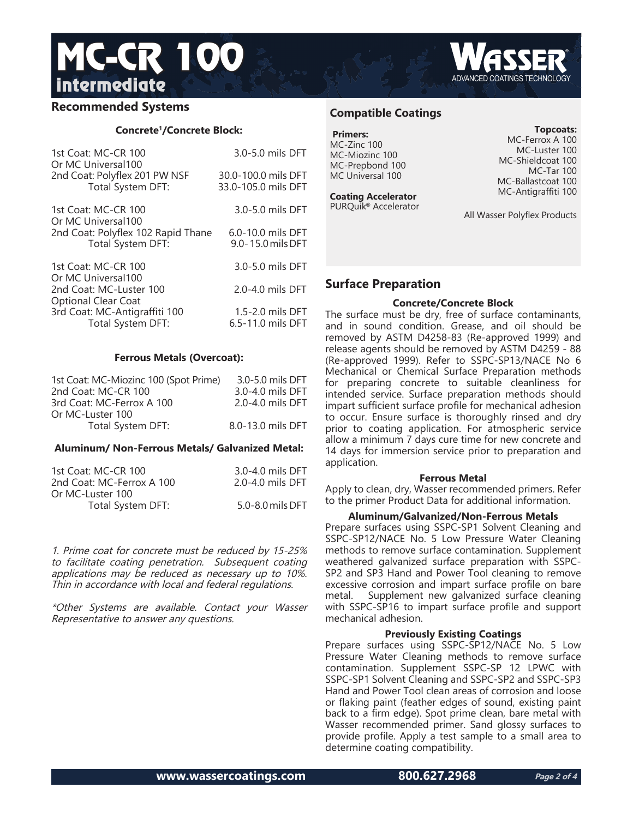

# **Concrete1/Concrete Block:**

| 1st Coat: MC-CR 100                                                      | 3.0-5.0 mils DFT                           |
|--------------------------------------------------------------------------|--------------------------------------------|
| Or MC Universal100<br>2nd Coat: Polyflex 201 PW NSF<br>Total System DFT: | 30.0-100.0 mils DFT<br>33.0-105.0 mils DFT |
| 1st Coat: MC-CR 100<br>Or MC Universal100                                | 3.0-5.0 mils DFT                           |
| 2nd Coat: Polyflex 102 Rapid Thane<br>Total System DFT:                  | 6.0-10.0 mils DFT<br>9.0-15.0 mils DFT     |
| 1st Coat: MC-CR 100<br>Or MC Universal100                                | 3.0-5.0 mils DFT                           |
| 2nd Coat: MC-Luster 100<br><b>Optional Clear Coat</b>                    | 2.0-4.0 mils DFT                           |
| 3rd Coat: MC-Antigraffiti 100<br>Total System DFT:                       | 1.5-2.0 mils DFT<br>6.5-11.0 mils DFT      |

### **Ferrous Metals (Overcoat):**

| 1st Coat: MC-Miozinc 100 (Spot Prime) | 3.0-5.0 mils DFT  |
|---------------------------------------|-------------------|
| 2nd Coat: MC-CR 100                   | 3.0-4.0 mils DFT  |
| 3rd Coat: MC-Ferrox A 100             | 2.0-4.0 mils DFT  |
| Or MC-Luster 100                      |                   |
| Total System DFT:                     | 8.0-13.0 mils DFT |

### **Aluminum/ Non-Ferrous Metals/ Galvanized Metal:**

| 1st Coat: MC-CR 100       | 3.0-4.0 mils DFT |
|---------------------------|------------------|
| 2nd Coat: MC-Ferrox A 100 | 2.0-4.0 mils DFT |
| Or MC-Luster 100          |                  |
| Total System DFT:         | 5.0-8.0 mils DFT |

1. Prime coat for concrete must be reduced by 15-25% to facilitate coating penetration. Subsequent coating applications may be reduced as necessary up to 10%. Thin in accordance with local and federal regulations.

\*Other Systems are available. Contact your Wasser Representative to answer any questions.

# **Compatible Coatings**

| <b>Primers:</b>  |  |
|------------------|--|
| MC-Zinc 100      |  |
| MC-Miozinc 100   |  |
| MC-Prepbond 100  |  |
| MC Universal 100 |  |

**Coating Accelerator**

#### **Topcoats:**

MC-Ferrox A 100 MC-Luster 100 MC-Shieldcoat 100 MC-Tar 100 MC-Ballastcoat 100 MC-Antigraffiti 100

All Wasser Polyflex Products

# **Surface Preparation**

## **Concrete/Concrete Block**

The surface must be dry, free of surface contaminants, and in sound condition. Grease, and oil should be removed by ASTM D4258-83 (Re-approved 1999) and release agents should be removed by ASTM D4259 - 88 (Re-approved 1999). Refer to SSPC-SP13/NACE No 6 Mechanical or Chemical Surface Preparation methods for preparing concrete to suitable cleanliness for intended service. Surface preparation methods should impart sufficient surface profile for mechanical adhesion to occur. Ensure surface is thoroughly rinsed and dry prior to coating application. For atmospheric service allow a minimum 7 days cure time for new concrete and 14 days for immersion service prior to preparation and application.

### **Ferrous Metal**

Apply to clean, dry, Wasser recommended primers. Refer to the primer Product Data for additional information.

### **Aluminum/Galvanized/Non-Ferrous Metals**

Prepare surfaces using SSPC-SP1 Solvent Cleaning and SSPC-SP12/NACE No. 5 Low Pressure Water Cleaning methods to remove surface contamination. Supplement weathered galvanized surface preparation with SSPC-SP2 and SP3 Hand and Power Tool cleaning to remove excessive corrosion and impart surface profile on bare metal. Supplement new galvanized surface cleaning with SSPC-SP16 to impart surface profile and support mechanical adhesion.

# **Previously Existing Coatings**

Prepare surfaces using SSPC-SP12/NACE No. 5 Low Pressure Water Cleaning methods to remove surface contamination. Supplement SSPC-SP 12 LPWC with SSPC-SP1 Solvent Cleaning and SSPC-SP2 and SSPC-SP3 Hand and Power Tool clean areas of corrosion and loose or flaking paint (feather edges of sound, existing paint back to a firm edge). Spot prime clean, bare metal with Wasser recommended primer. Sand glossy surfaces to provide profile. Apply a test sample to a small area to determine coating compatibility.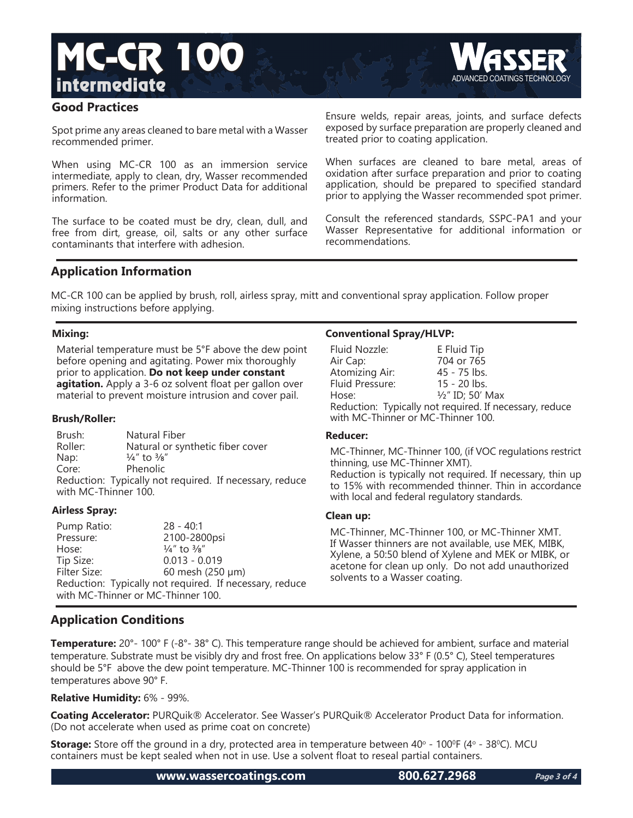

# **Good Practices**

Spot prime any areas cleaned to bare metal with a Wasser recommended primer.

When using MC-CR 100 as an immersion service intermediate, apply to clean, dry, Wasser recommended primers. Refer to the primer Product Data for additional information.

The surface to be coated must be dry, clean, dull, and free from dirt, grease, oil, salts or any other surface contaminants that interfere with adhesion.

Ensure welds, repair areas, joints, and surface defects exposed by surface preparation are properly cleaned and treated prior to coating application.

When surfaces are cleaned to bare metal, areas of oxidation after surface preparation and prior to coating application, should be prepared to specified standard prior to applying the Wasser recommended spot primer.

Consult the referenced standards, SSPC-PA1 and your Wasser Representative for additional information or recommendations.

# **Application Information**

MC-CR 100 can be applied by brush, roll, airless spray, mitt and conventional spray application. Follow proper mixing instructions before applying.

# **Mixing:**

Material temperature must be 5°F above the dew point before opening and agitating. Power mix thoroughly prior to application. **Do not keep under constant agitation.** Apply a 3-6 oz solvent float per gallon over material to prevent moisture intrusion and cover pail.

### **Brush/Roller:**

Brush: Natural Fiber Roller: Natural or synthetic fiber cover Nap:  $\frac{1}{4}$ " to  $\frac{3}{8}$ " Core: Phenolic Reduction: Typically not required. If necessary, reduce with MC-Thinner 100.

### **Airless Spray:**

Pump Ratio: 28 - 40:1 Pressure: 2100-2800psi Hose:  $\frac{1}{4}$ " to  $\frac{3}{8}$ " Tip Size: 0.013 - 0.019 Filter Size: 60 mesh (250 μm) Reduction: Typically not required. If necessary, reduce with MC-Thinner or MC-Thinner 100.

# **Conventional Spray/HLVP:**

| Fluid Nozzle:                                           | E Fluid Tip                 |  |
|---------------------------------------------------------|-----------------------------|--|
| Air Cap:                                                | 704 or 765                  |  |
| Atomizing Air:                                          | 45 - 75 lbs.                |  |
| Fluid Pressure:                                         | 15 - 20 lbs.                |  |
| Hose:                                                   | $\frac{1}{2}$ " ID; 50' Max |  |
| Reduction: Typically not required. If necessary, reduce |                             |  |
| with MC-Thinner or MC-Thinner 100.                      |                             |  |

### **Reducer:**

MC-Thinner, MC-Thinner 100, (if VOC regulations restrict thinning, use MC-Thinner XMT). Reduction is typically not required. If necessary, thin up to 15% with recommended thinner. Thin in accordance with local and federal regulatory standards.

### **Clean up:**

MC-Thinner, MC-Thinner 100, or MC-Thinner XMT. If Wasser thinners are not available, use MEK, MIBK, Xylene, a 50:50 blend of Xylene and MEK or MIBK, or acetone for clean up only. Do not add unauthorized solvents to a Wasser coating.

# **Application Conditions**

**Temperature:** 20°- 100° F (-8°- 38° C). This temperature range should be achieved for ambient, surface and material temperature. Substrate must be visibly dry and frost free. On applications below 33° F (0.5° C), Steel temperatures should be 5°F above the dew point temperature. MC-Thinner 100 is recommended for spray application in temperatures above 90° F.

### **Relative Humidity:** 6% - 99%.

**Coating Accelerator:** PURQuik® Accelerator. See Wasser's PURQuik® Accelerator Product Data for information. (Do not accelerate when used as prime coat on concrete)

**Storage:** Store off the ground in a dry, protected area in temperature between 40° - 100°F (4° - 38°C). MCU containers must be kept sealed when not in use. Use a solvent float to reseal partial containers.

**www.wassercoatings.com 800.627.2968**